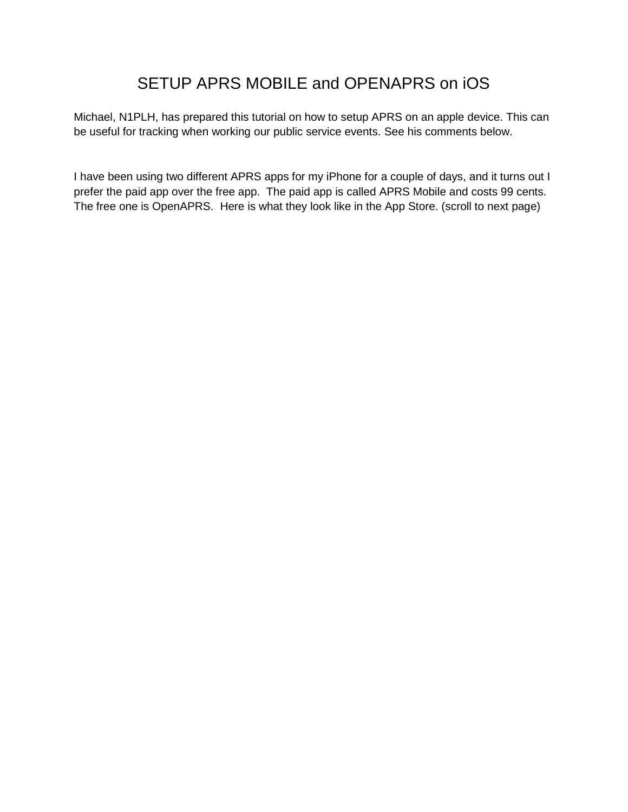## SETUP APRS MOBILE and OPENAPRS on iOS

Michael, N1PLH, has prepared this tutorial on how to setup APRS on an apple device. This can be useful for tracking when working our public service events. See his comments below.

I have been using two different APRS apps for my iPhone for a couple of days, and it turns out I prefer the paid app over the free app. The paid app is called APRS Mobile and costs 99 cents. The free one is OpenAPRS. Here is what they look like in the App Store. (scroll to next page)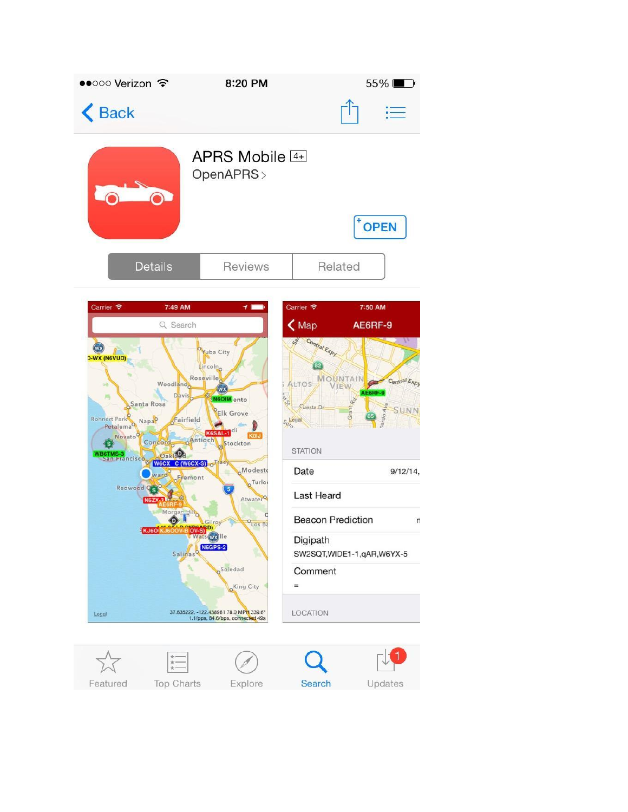

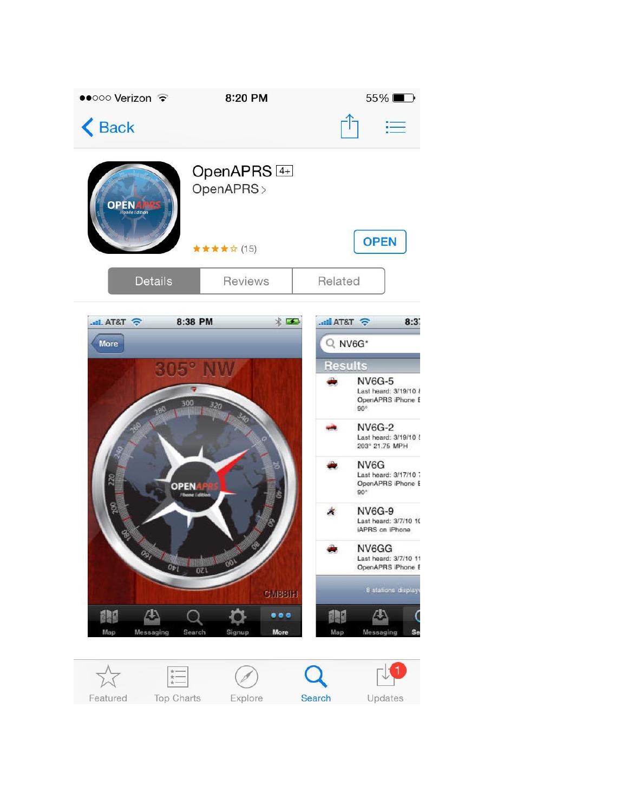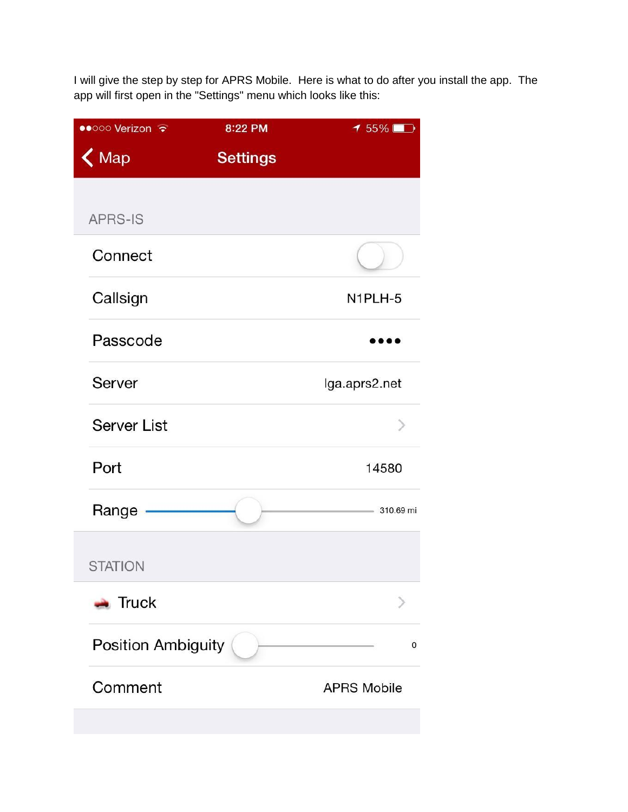I will give the step by step for APRS Mobile. Here is what to do after you install the app. The app will first open in the "Settings" menu which looks like this:

| ●●○○○ Verizon        | 8:22 PM         | $155\%$            |
|----------------------|-----------------|--------------------|
| $\bigwedge$ Map      | <b>Settings</b> |                    |
|                      |                 |                    |
| <b>APRS-IS</b>       |                 |                    |
| Connect              |                 |                    |
| Callsign             |                 | N1PLH-5            |
| Passcode             |                 |                    |
| Server               |                 | lga.aprs2.net      |
| <b>Server List</b>   |                 |                    |
| Port                 |                 | 14580              |
| Range                |                 | 310.69 mi          |
| <b>STATION</b>       |                 |                    |
| $\blacksquare$ Truck |                 |                    |
| Position Ambiguity   |                 | 0                  |
| Comment              |                 | <b>APRS Mobile</b> |
|                      |                 |                    |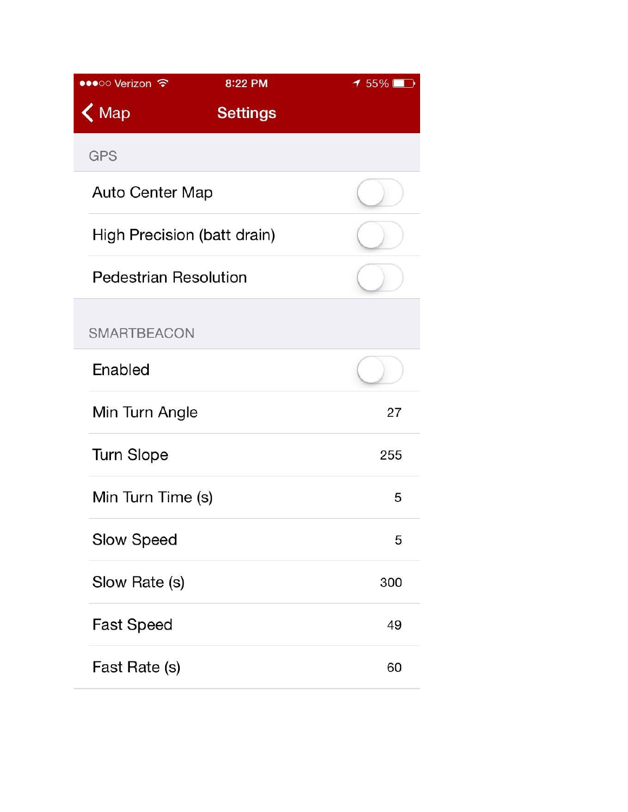| 8:22 PM<br>•••○○ Verizon ক     | $155\%$ |
|--------------------------------|---------|
| $\zeta$ Map<br><b>Settings</b> |         |
| <b>GPS</b>                     |         |
| <b>Auto Center Map</b>         |         |
| High Precision (batt drain)    |         |
| <b>Pedestrian Resolution</b>   |         |
| <b>SMARTBEACON</b>             |         |
| Enabled                        |         |
| Min Turn Angle                 | 27      |
| <b>Turn Slope</b>              | 255     |
| Min Turn Time (s)              | 5       |
| Slow Speed                     | 5       |
| Slow Rate (s)                  | 300     |
| <b>Fast Speed</b>              | 49      |
| Fast Rate (s)                  | 60      |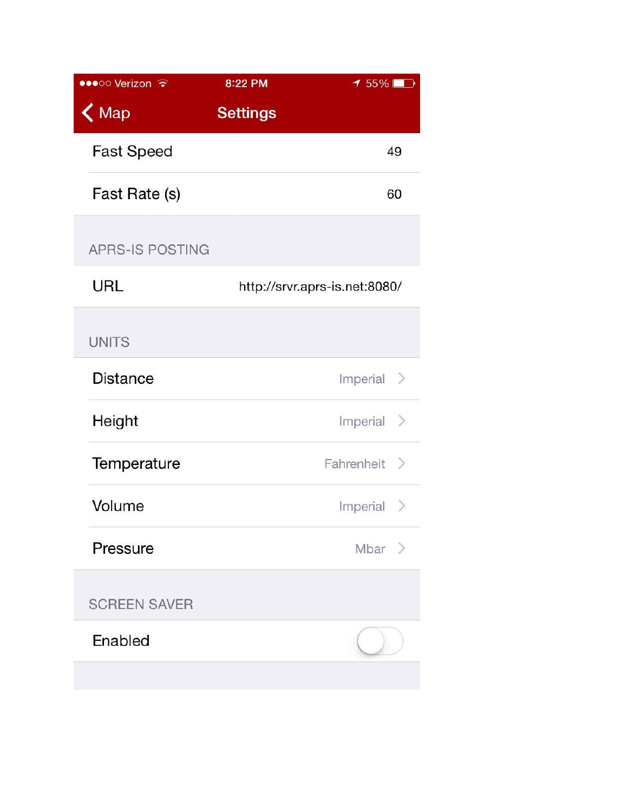| ●●●○○ Verizon →        | 8:22 PM         | $155\%$                       |
|------------------------|-----------------|-------------------------------|
| $\bigwedge$ Map        | <b>Settings</b> |                               |
| <b>Fast Speed</b>      |                 | 49                            |
| Fast Rate (s)          |                 | 60                            |
| <b>APRS-IS POSTING</b> |                 |                               |
| <b>URL</b>             |                 | http://srvr.aprs-is.net:8080/ |
| <b>UNITS</b>           |                 |                               |
| <b>Distance</b>        |                 | Imperial $>$                  |
| Height                 |                 | Imperial $\geq$               |
| Temperature            |                 | Fahrenheit >                  |
| Volume                 |                 | Imperial $\geq$               |
| Pressure               |                 | $Mbar$ >                      |
| <b>SCREEN SAVER</b>    |                 |                               |
| Enabled                |                 |                               |
|                        |                 |                               |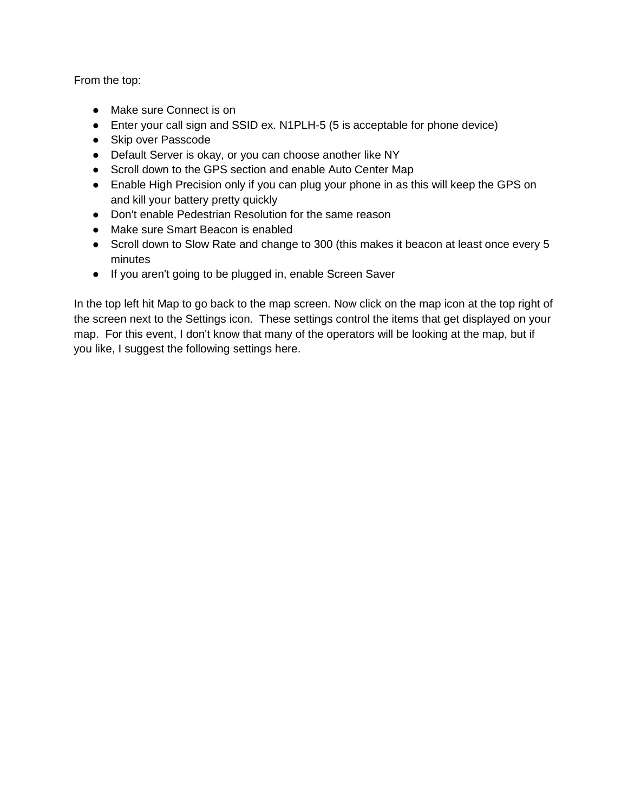From the top:

- Make sure Connect is on
- Enter your call sign and SSID ex. N1PLH-5 (5 is acceptable for phone device)
- Skip over Passcode
- Default Server is okay, or you can choose another like NY
- Scroll down to the GPS section and enable Auto Center Map
- Enable High Precision only if you can plug your phone in as this will keep the GPS on and kill your battery pretty quickly
- Don't enable Pedestrian Resolution for the same reason
- Make sure Smart Beacon is enabled
- Scroll down to Slow Rate and change to 300 (this makes it beacon at least once every 5 minutes
- If you aren't going to be plugged in, enable Screen Saver

In the top left hit Map to go back to the map screen. Now click on the map icon at the top right of the screen next to the Settings icon. These settings control the items that get displayed on your map. For this event, I don't know that many of the operators will be looking at the map, but if you like, I suggest the following settings here.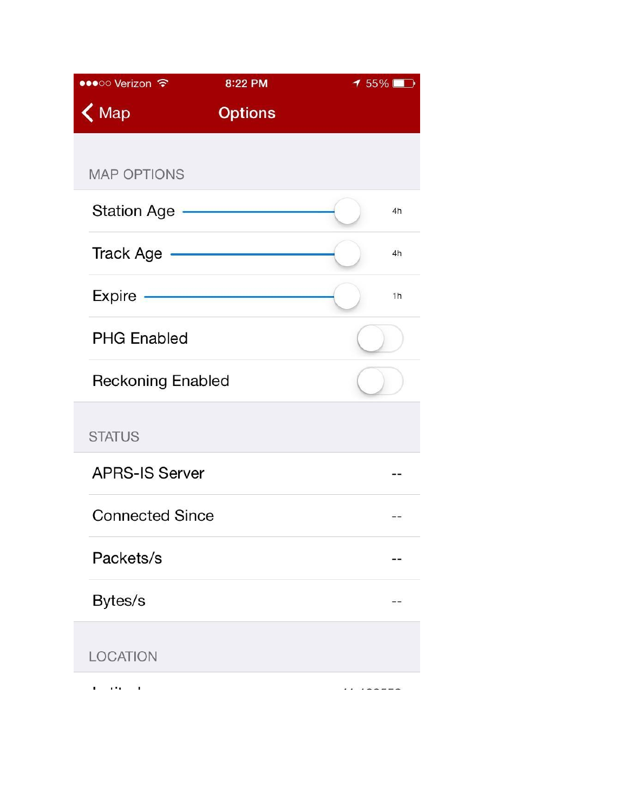| •••○○ Verizon ←          | 8:22 PM        | $155\%$ |
|--------------------------|----------------|---------|
| $\bigwedge$ Map          | <b>Options</b> |         |
|                          |                |         |
| <b>MAP OPTIONS</b>       |                |         |
| Station Age -            |                | 4h      |
| Track Age                |                | 4h      |
| Expire -                 |                | 1h      |
| <b>PHG Enabled</b>       |                |         |
| <b>Reckoning Enabled</b> |                |         |
| <b>STATUS</b>            |                |         |
| <b>APRS-IS Server</b>    |                |         |
| <b>Connected Since</b>   |                |         |
| Packets/s                |                |         |
| Bytes/s                  |                |         |
| <b>LOCATION</b>          |                |         |
|                          |                |         |